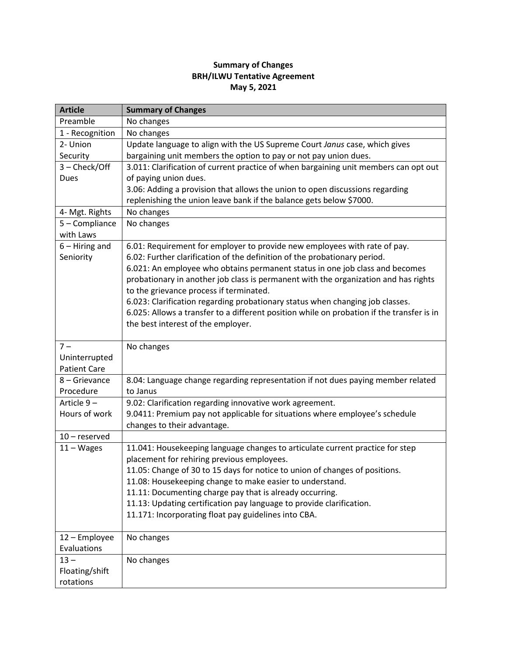## **Summary of Changes BRH/ILWU Tentative Agreement May 5, 2021**

| <b>Article</b>      | <b>Summary of Changes</b>                                                                                                       |
|---------------------|---------------------------------------------------------------------------------------------------------------------------------|
| Preamble            | No changes                                                                                                                      |
| 1 - Recognition     | No changes                                                                                                                      |
| 2- Union            | Update language to align with the US Supreme Court Janus case, which gives                                                      |
| Security            | bargaining unit members the option to pay or not pay union dues.                                                                |
| 3 - Check/Off       | 3.011: Clarification of current practice of when bargaining unit members can opt out                                            |
| Dues                | of paying union dues.                                                                                                           |
|                     | 3.06: Adding a provision that allows the union to open discussions regarding                                                    |
|                     | replenishing the union leave bank if the balance gets below \$7000.                                                             |
| 4- Mgt. Rights      | No changes                                                                                                                      |
| 5 - Compliance      | No changes                                                                                                                      |
| with Laws           |                                                                                                                                 |
| $6 - Hiring$ and    | 6.01: Requirement for employer to provide new employees with rate of pay.                                                       |
| Seniority           | 6.02: Further clarification of the definition of the probationary period.                                                       |
|                     | 6.021: An employee who obtains permanent status in one job class and becomes                                                    |
|                     | probationary in another job class is permanent with the organization and has rights                                             |
|                     | to the grievance process if terminated.                                                                                         |
|                     | 6.023: Clarification regarding probationary status when changing job classes.                                                   |
|                     | 6.025: Allows a transfer to a different position while on probation if the transfer is in<br>the best interest of the employer. |
|                     |                                                                                                                                 |
| $7 -$               | No changes                                                                                                                      |
| Uninterrupted       |                                                                                                                                 |
| <b>Patient Care</b> |                                                                                                                                 |
| 8 - Grievance       | 8.04: Language change regarding representation if not dues paying member related                                                |
| Procedure           | to Janus                                                                                                                        |
| Article 9-          | 9.02: Clarification regarding innovative work agreement.                                                                        |
| Hours of work       | 9.0411: Premium pay not applicable for situations where employee's schedule                                                     |
|                     | changes to their advantage.                                                                                                     |
| $10$ – reserved     |                                                                                                                                 |
| $11 - Wages$        | 11.041: Housekeeping language changes to articulate current practice for step                                                   |
|                     | placement for rehiring previous employees.                                                                                      |
|                     | 11.05: Change of 30 to 15 days for notice to union of changes of positions.                                                     |
|                     | 11.08: Housekeeping change to make easier to understand.                                                                        |
|                     | 11.11: Documenting charge pay that is already occurring.                                                                        |
|                     | 11.13: Updating certification pay language to provide clarification.                                                            |
|                     | 11.171: Incorporating float pay guidelines into CBA.                                                                            |
| 12 - Employee       | No changes                                                                                                                      |
| Evaluations         |                                                                                                                                 |
| $13 -$              | No changes                                                                                                                      |
| Floating/shift      |                                                                                                                                 |
| rotations           |                                                                                                                                 |